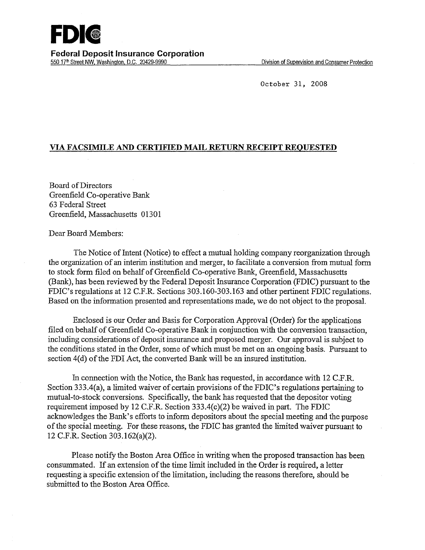October 31, 2008

## **VIA FACSIMILE AND CERTIFIED MAIL RETURN RECEIPT REQUESTED**

Board of Directors Greenfield Co-operative Bank 63 Federal Street Greenfield, Massachusetts 01301

Dear Board Members:

The Notice of Intent (Notice) to effect a mutual holding company reorganization through the organization of an interim institution and merger, to facilitate a conversion from mutual form to stock form filed on behalf of Greenfield Co-operative Bank, Greenfield, Massachusetts (Bank), has been reviewed by the Federal Deposit Insurance Corporation (FDIC) pursuant to the FDIC's regulations at 12 C.P.R. Sections 303.160-303.163 and other pertinent FDIC regulations. Based on the information presented and representations made, we do not object to the proposal.

Enclosed is our Order and Basis for Corporation Approval (Order) for the applications filed on behalf of Greenfield Co-operative Bank in conjunction with the conversion transaction, including considerations of deposit insurance and proposed merger. Our approval is subject to the conditions stated in the Order, some of which must be met on an ongoing basis. Pursuant to section 4(d) of the FDI Act, the converted Bank will be an insured institution.

In connection with the Notice, the Bank has requested, in accordance with 12 C.P.R. Section 333.4(a), a limited waiver of certain provisions of the FDIC's regulations pertaining to mutual-to-stock conversions. Specifically, the bank has requested that the depositor voting requirement imposed by 12 C.P.R. Section 333.4(c)(2) be waived in part. The FDIC acknowledges the Bank's efforts to inform depositors about the special meeting and the purpose of the special meeting. For these reasons, the FDIC has granted the limited waiver pursuant to 12 C.P.R. Section 303.162(a)(2).

Please notify the Boston Area Office in writing when the proposed transaction has been consummated. If an extension of the time limit included in the Order is required, a letter requesting a specific extension of the limitation, including the reasons therefore, should be submitted to the Boston Area Office.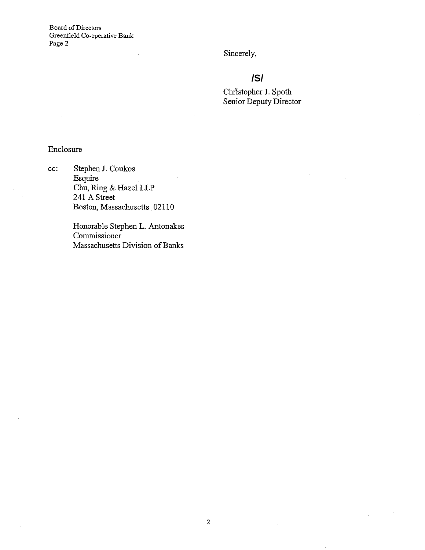Board of Directors Greenfield CO-operative Bank Page 2

Sincerely,

# **/S/**

Christopher J. Spoth Senior Deputy Director

# Enclosure

cc: Stephen J. Coukos Esquire Chu, Ring & Hazel LLP 241 A Street Boston, Massachusetts 02110

> Honorable Stephen L. Antonakes Commissioner Massachusetts Division of Banks

 $\sim$   $\sim$ 

 $\mathcal{L}^{(1)}$  .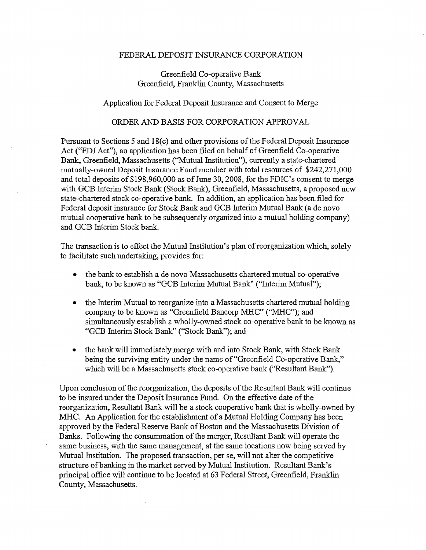#### FEDERAL DEPOSIT INSURANCE CORPORATION

### Greenfield Co-operative Bank Greenfield, Franklin County, Massachusetts

#### Application for Federal Deposit Insurance and Consent to Merge

#### ORDER AND BASIS FOR CORPORATION APPROVAL

Pursuant to Sections 5 and 18(c) and other provisions of the Federal Deposit Insurance Act ("FDI Act"), an application has been filed on behalf of Greenfield Co-operative Bank, Greenfield, Massachusetts (''Mutual Institution"), currently a state-chartered mutually-owned Deposit Insurance Fund member with total resources of \$242,271,000 and total deposits of\$198,960,000 as of June 30, 2008, for the FDIC's consent to merge with GCB Interim Stock Bank (Stock Bank), Greenfield, Massachusetts, a proposed new state-chartered stock co-operative bank. In addition, an application has been. filed for Federal deposit insurance for Stock Bank and GCB Interim Mutual Bank (a de novo mutual cooperative bank to be subsequently organized into a mutual holding company) and GCB Interim Stock bank.

The transaction is to effect the Mutual Institution's plan of reorganization which, solely to facilitate such undertaking, provides for:

- the bank to establish a de novo Massachusetts chartered mutual co-operative bank, to be known as "GCB Interim Mutual Bank" ("Interim Mutual");
- the Interim Mutual to reorganize into a Massachusetts chartered mutual holding company to be known as "Greenfield Bancorp MHC" ("MHC"); and simultaneously establish a wholly-owned stock co-operative bank to be known as "GCB Interim Stock Bank" ("Stock Bank"); and
- the bank will immediately merge with and into Stock Bank, with Stock Bank being the surviving entity under the name of "Greenfield Co-operative Bank," which will be a Massachusetts stock co-operative bank ("Resultant Bank").

Upon conclusion of the reorganization, the deposits of the Resultant Bank will continue to be insured under the Deposit Insurance Fund. On the effective date of the reorganization, Resultant Bank will be a stock cooperative bank that is wholly-owned by :MHC. An Application for the establishment of a Mutual Holding Company has been approved by the Federal Reserve Bank of Boston and the Massachusetts Division of Banks. Following the consummation of the merger, Resultant Bank will operate the same business, with the same management, at the same locations now being served by Mutual Institution. The proposed transaction, per se, will not alter the competitive structure of banking in the market served by Mutual Institution. Resultant Bank's principal office will continue to be located at 63 Federal Street, Greenfield, Franklin County, Massachusetts.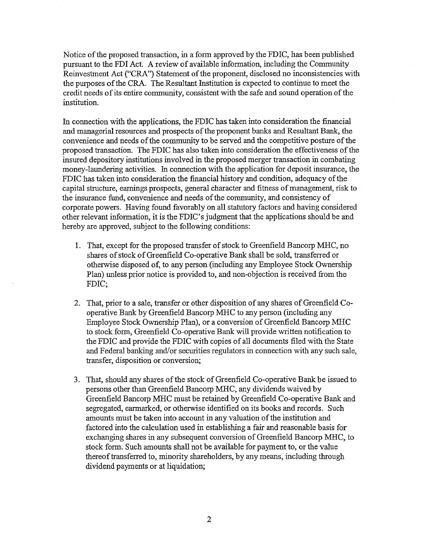Notice of the proposed transaction, in a form approved by the FDIC, has been published pursuant to the FDI Act. A review of available information, including the Community Reinvestment Act ("CRA") Statement of the proponent, disclosed no inconsistencies with the purposes of the CRA. The Resultant Institution is expected to continue to meet the credit needs of its entire community, consistent with the safe and sound operation of the institution.

In connection with the applications, the FDIC has taken into consideration the fmancial and managerial resources and prospects of the proponent banks and Resultant Bank, the convenience and needs of the community to be served and the competitive posture of the proposed transaction. The FDIC has also taken into consideration the effectiveness of the insured depository institutions involved in the proposed merger transaction in combating money-laundering activities. In connection with the application for deposit insurance, the FDIC has taken into consideration the financial history and condition, adequacy of the capital structure, earnings prospects, general character and fitness of management, risk to the insurance fund, convenience and needs ofthe community, and consistency of corporate powers. Having found favorably on all statutory factors and having considered other relevant information, it is the FDIC's judgment that the applications should be and hereby are approved, subject to the following conditions:

- 1. That, except for the proposed transfer of stock to Greenfield Bancorp MHC, no shares of stock of Greenfield Co-operative Bank shall be sold, transferred or otherwise disposed of, to any person (including any Employee Stock Ownership Plan) unless prior notice is provided to, and non-objection is received from the FDIC;
- 2. That, prior to a sale, transfer or other disposition of any shares of Greenfield Cooperative Bank by Greenfield Bancorp MHC to any person (including any Employee Stock Ownership Plan), or a conversion of Greenfield Bancorp MHC to stock form, Greenfield Co-operative Bank will provide written notification to the FDIC and provide the FDIC with copies of all documents filed with the State and Federal banking and/or securities regulators in connection with any such sale, transfer, disposition or conversion;
- 3. That, should any shares of the stock of Greenfield Co-operative Bank be issued to persons other than Greenfield Bancorp MHC, any dividends waived by Greenfield Bancorp MHC must be retained by Greenfield Co-operative Bank and segregated, earmarked, or otherwise identified on its books and records. Such amounts must be taken into account in any valuation of the institution and factored into the calculation used in establishing a fair and reasonable basis for exchanging shares in any subsequent conversion of Greenfield Bancorp MHC, to stock form. Such amounts shall not be available for payment to, or the value thereof transferred to, minority shareholders, by any means, including through dividend payments or at liquidation;